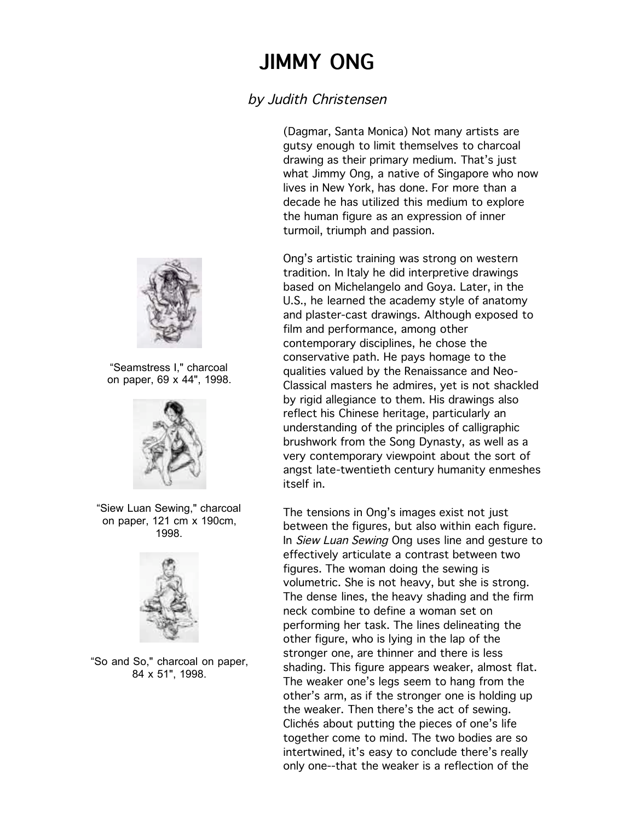## JIMMY ONG JIMMY ONG

## by Judith Christensen

(Dagmar, Santa Monica) Not many artists are gutsy enough to limit themselves to charcoal drawing as their primary medium. That's just what Jimmy Ong, a native of Singapore who now lives in New York, has done. For more than a decade he has utilized this medium to explore the human figure as an expression of inner turmoil, triumph and passion.

Ong's artistic training was strong on western tradition. In Italy he did interpretive drawings based on Michelangelo and Goya. Later, in the U.S., he learned the academy style of anatomy and plaster-cast drawings. Although exposed to film and performance, among other contemporary disciplines, he chose the conservative path. He pays homage to the qualities valued by the Renaissance and Neo-Classical masters he admires, yet is not shackled by rigid allegiance to them. His drawings also reflect his Chinese heritage, particularly an understanding of the principles of calligraphic brushwork from the Song Dynasty, as well as a very contemporary viewpoint about the sort of angst late-twentieth century humanity enmeshes itself in.

The tensions in Ong's images exist not just between the figures, but also within each figure. In *Siew Luan Sewing* Ong uses line and gesture to effectively articulate a contrast between two figures. The woman doing the sewing is volumetric. She is not heavy, but she is strong. The dense lines, the heavy shading and the firm neck combine to define a woman set on performing her task. The lines delineating the other figure, who is lying in the lap of the stronger one, are thinner and there is less shading. This figure appears weaker, almost flat. The weaker one's legs seem to hang from the other's arm, as if the stronger one is holding up the weaker. Then there's the act of sewing. Clichés about putting the pieces of one's life together come to mind. The two bodies are so intertwined, it's easy to conclude there's really only one--that the weaker is a reflection of the



"Seamstress I," charcoal on paper, 69 x 44", 1998.



"Siew Luan Sewing," charcoal on paper, 121 cm x 190cm, 1998.



"So and So," charcoal on paper, 84 x 51", 1998.